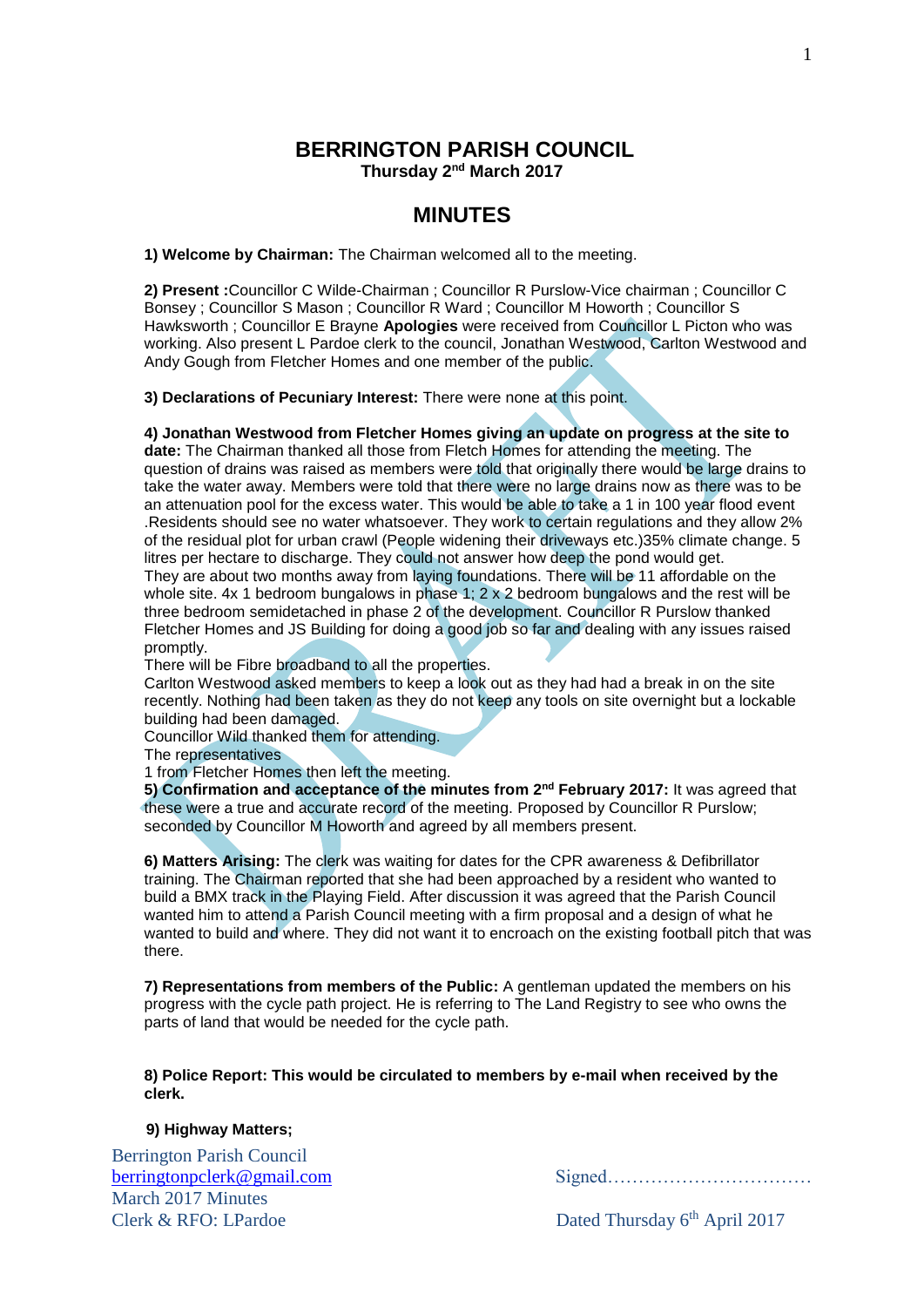## **BERRINGTON PARISH COUNCIL Thursday 2<sup>nd</sup> March 2017**

# **MINUTES**

**1) Welcome by Chairman:** The Chairman welcomed all to the meeting.

**2) Present :**Councillor C Wilde-Chairman ; Councillor R Purslow-Vice chairman ; Councillor C Bonsey ; Councillor S Mason ; Councillor R Ward ; Councillor M Howorth ; Councillor S Hawksworth ; Councillor E Brayne **Apologies** were received from Councillor L Picton who was working. Also present L Pardoe clerk to the council, Jonathan Westwood, Carlton Westwood and Andy Gough from Fletcher Homes and one member of the public.

**3) Declarations of Pecuniary Interest:** There were none at this point.

**4) Jonathan Westwood from Fletcher Homes giving an update on progress at the site to** 

**date:** The Chairman thanked all those from Fletch Homes for attending the meeting. The question of drains was raised as members were told that originally there would be large drains to take the water away. Members were told that there were no large drains now as there was to be an attenuation pool for the excess water. This would be able to take a 1 in 100 year flood event .Residents should see no water whatsoever. They work to certain regulations and they allow 2% of the residual plot for urban crawl (People widening their driveways etc.)35% climate change. 5 litres per hectare to discharge. They could not answer how deep the pond would get. They are about two months away from laying foundations. There will be 11 affordable on the whole site. 4x 1 bedroom bungalows in phase 1; 2 x 2 bedroom bungalows and the rest will be three bedroom semidetached in phase 2 of the development. Councillor R Purslow thanked Fletcher Homes and JS Building for doing a good job so far and dealing with any issues raised

promptly.

There will be Fibre broadband to all the properties.

Carlton Westwood asked members to keep a look out as they had had a break in on the site recently. Nothing had been taken as they do not keep any tools on site overnight but a lockable building had been damaged.

Councillor Wild thanked them for attending.

The representatives

1 from Fletcher Homes then left the meeting.

**5) Confirmation and acceptance of the minutes from 2<sup>nd</sup> February 2017: It was agreed that** these were a true and accurate record of the meeting. Proposed by Councillor R Purslow; seconded by Councillor M Howorth and agreed by all members present.

**6) Matters Arising:** The clerk was waiting for dates for the CPR awareness & Defibrillator training. The Chairman reported that she had been approached by a resident who wanted to build a BMX track in the Playing Field. After discussion it was agreed that the Parish Council wanted him to attend a Parish Council meeting with a firm proposal and a design of what he wanted to build and where. They did not want it to encroach on the existing football pitch that was there.

**7) Representations from members of the Public:** A gentleman updated the members on his progress with the cycle path project. He is referring to The Land Registry to see who owns the parts of land that would be needed for the cycle path.

**8) Police Report: This would be circulated to members by e-mail when received by the clerk.**

## **9) Highway Matters;**

Berrington Parish Council March 2017 Minutes  $Clerk & RFO: LPardoe$ 

[berringtonpclerk@gmail.com](mailto:berringtonpclerk@gmail.com) Signed……………………………

Dated Thursday 6<sup>th</sup> April 2017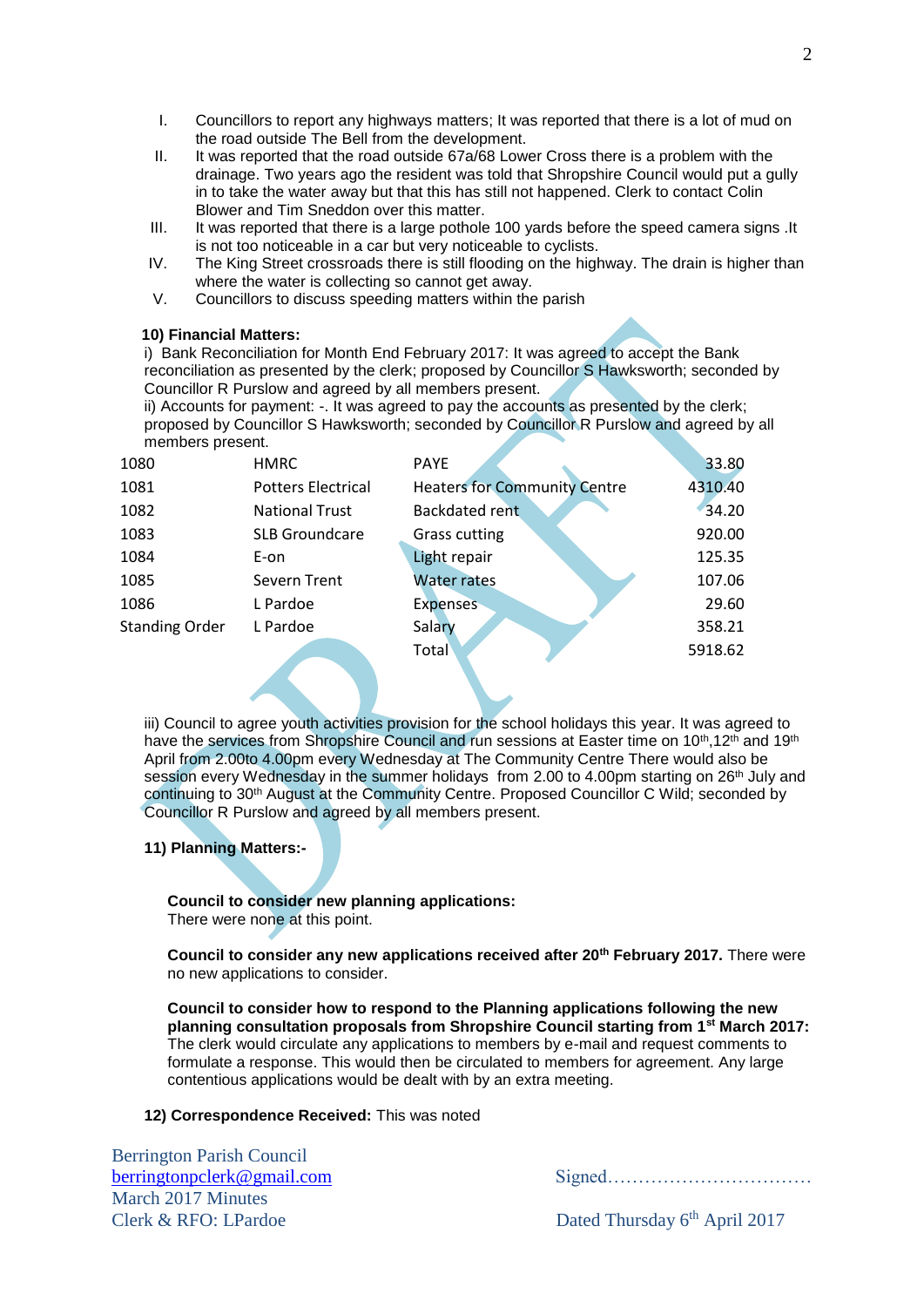- I. Councillors to report any highways matters; It was reported that there is a lot of mud on the road outside The Bell from the development.
- II. It was reported that the road outside 67a/68 Lower Cross there is a problem with the drainage. Two years ago the resident was told that Shropshire Council would put a gully in to take the water away but that this has still not happened. Clerk to contact Colin Blower and Tim Sneddon over this matter.
- III. It was reported that there is a large pothole 100 yards before the speed camera signs .It is not too noticeable in a car but very noticeable to cyclists.
- IV. The King Street crossroads there is still flooding on the highway. The drain is higher than where the water is collecting so cannot get away.
- V. Councillors to discuss speeding matters within the parish

#### **10) Financial Matters:**

i) Bank Reconciliation for Month End February 2017: It was agreed to accept the Bank reconciliation as presented by the clerk; proposed by Councillor S Hawksworth; seconded by Councillor R Purslow and agreed by all members present.

ii) Accounts for payment: -. It was agreed to pay the accounts as presented by the clerk; proposed by Councillor S Hawksworth; seconded by Councillor R Purslow and agreed by all members present.

| 1080                  | <b>HMRC</b>               | <b>PAYE</b>                         | 33.80   |
|-----------------------|---------------------------|-------------------------------------|---------|
| 1081                  | <b>Potters Electrical</b> | <b>Heaters for Community Centre</b> | 4310.40 |
| 1082                  | <b>National Trust</b>     | <b>Backdated rent</b>               | 34.20   |
| 1083                  | <b>SLB Groundcare</b>     | <b>Grass cutting</b>                | 920.00  |
| 1084                  | E-on                      | Light repair                        | 125.35  |
| 1085                  | Severn Trent              | <b>Water rates</b>                  | 107.06  |
| 1086                  | L Pardoe                  | <b>Expenses</b>                     | 29.60   |
| <b>Standing Order</b> | L Pardoe                  | Salary                              | 358.21  |
|                       |                           | <b>Total</b>                        | 5918.62 |
|                       |                           |                                     |         |

iii) Council to agree youth activities provision for the school holidays this year. It was agreed to have the services from Shropshire Council and run sessions at Easter time on 10<sup>th</sup>, 12<sup>th</sup> and 19<sup>th</sup> April from 2.00to 4.00pm every Wednesday at The Community Centre There would also be session every Wednesday in the summer holidays from 2.00 to 4.00pm starting on 26<sup>th</sup> July and continuing to 30<sup>th</sup> August at the Community Centre. Proposed Councillor C Wild; seconded by Councillor R Purslow and agreed by all members present.

#### **11) Planning Matters:-**

**Council to consider new planning applications:** There were none at this point.

**Council to consider any new applications received after 20th February 2017.** There were no new applications to consider.

**Council to consider how to respond to the Planning applications following the new planning consultation proposals from Shropshire Council starting from 1st March 2017:** The clerk would circulate any applications to members by e-mail and request comments to formulate a response. This would then be circulated to members for agreement. Any large contentious applications would be dealt with by an extra meeting.

#### **12) Correspondence Received:** This was noted

Berrington Parish Council March 2017 Minutes  $Clerk & RFO: LPardoe$ 

[berringtonpclerk@gmail.com](mailto:berringtonpclerk@gmail.com) Signed……………………………

Dated Thursday 6<sup>th</sup> April 2017